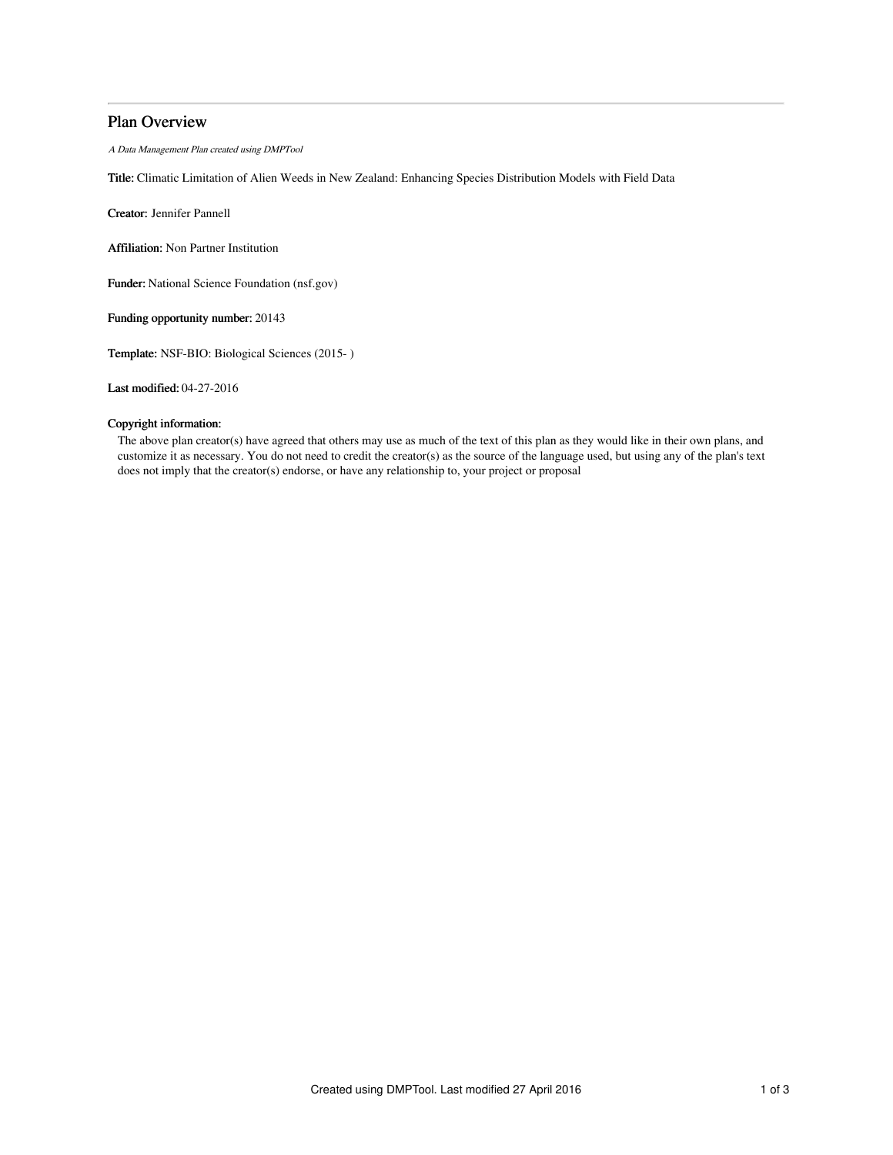# Plan Overview

A Data Management Plan created using DMPTool

Title: Climatic Limitation of Alien Weeds in New Zealand: Enhancing Species Distribution Models with Field Data

Creator: Jennifer Pannell

Affiliation: Non Partner Institution

Funder: National Science Foundation (nsf.gov)

Funding opportunity number: 20143

Template: NSF-BIO: Biological Sciences (2015- )

Last modified: 04-27-2016

# Copyright information:

The above plan creator(s) have agreed that others may use as much of the text of this plan as they would like in their own plans, and customize it as necessary. You do not need to credit the creator(s) as the source of the language used, but using any of the plan's text does not imply that the creator(s) endorse, or have any relationship to, your project or proposal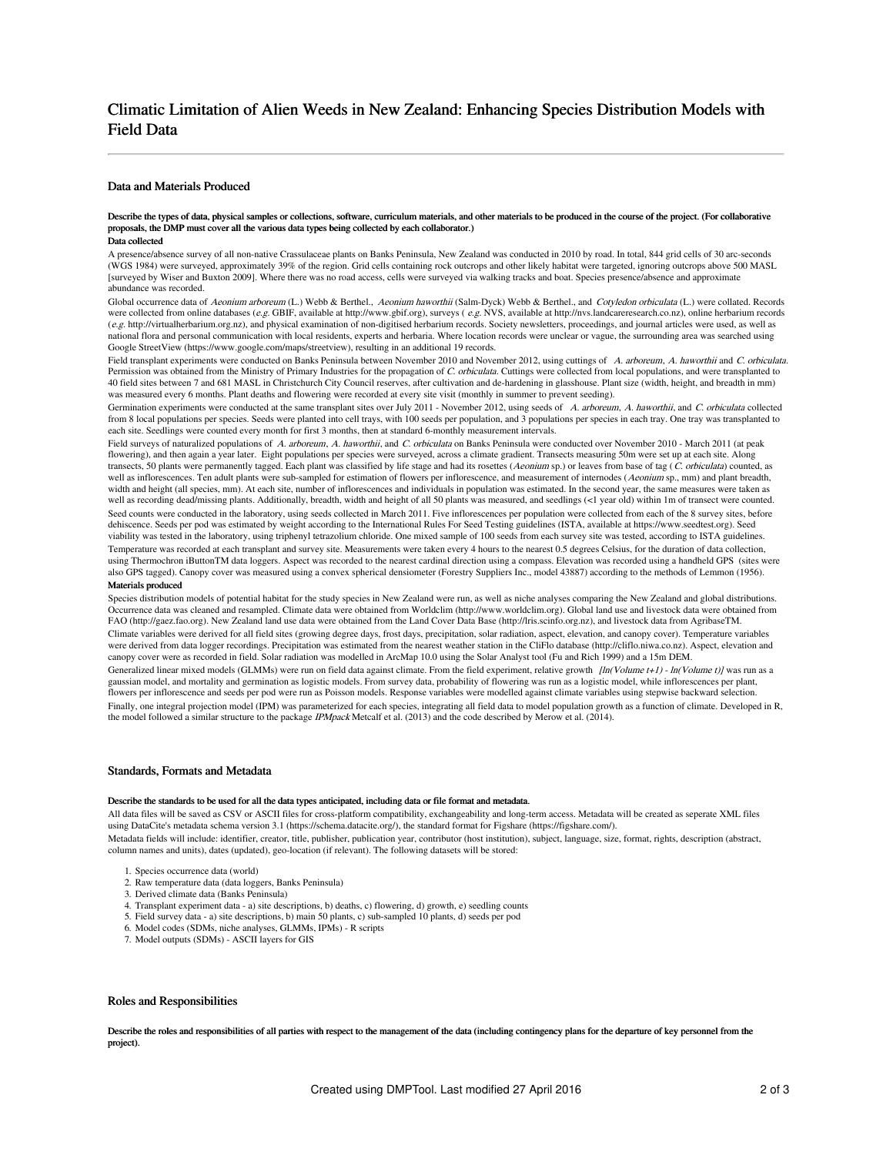# Climatic Limitation of Alien Weeds in New Zealand: Enhancing Species Distribution Models with Field Data

# Data and Materials Produced

#### Describe the types of data, physical samples or collections, software, curriculum materials, and other materials to be produced in the course of the project. (For collaborative proposals, the DMP must cover all the various data types being collected by each collaborator.) Data collected

A presence/absence survey of all non-native Crassulaceae plants on Banks Peninsula, New Zealand was conducted in 2010 by road. In total, 844 grid cells of 30 arc-seconds (WGS 1984) were surveyed, approximately 39% of the region. Grid cells containing rock outcrops and other likely habitat were targeted, ignoring outcrops above 500 MASL [surveyed by Wiser and Buxton 2009]. Where there was no road access, cells were surveyed via walking tracks and boat. Species presence/absence and approximate abundance was recorded.

Global occurrence data of Aeonium arboreum (L.) Webb & Berthel., Aeonium haworthii (Salm-Dyck) Webb & Berthel., and Cotyledon orbiculata (L.) were collated. Records were collected from online databases (e.g. GBIF, available at http://www.gbif.org), surveys (e.g. NVS, available at http://nvs.landcareresearch.co.nz), online herbarium records (e.g. http://virtualherbarium.org.nz), and physical examination of non-digitised herbarium records. Society newsletters, proceedings, and journal articles were used, as well as national flora and personal communication with local residents, experts and herbaria. Where location records were unclear or vague, the surrounding area was searched using Google StreetView (https://www.google.com/maps/streetview), resulting in an additional 19 records.

Field transplant experiments were conducted on Banks Peninsula between November 2010 and November 2012, using cuttings of A. arboreum, A. haworthii and C. orbiculata. Permission was obtained from the Ministry of Primary Industries for the propagation of C. orbiculata. Cuttings were collected from local populations, and were transplanted to 40 field sites between 7 and 681 MASL in Christchurch City Council reserves, after cultivation and de-hardening in glasshouse. Plant size (width, height, and breadth in mm) was measured every 6 months. Plant deaths and flowering were recorded at every site visit (monthly in summer to prevent seeding).

Germination experiments were conducted at the same transplant sites over July 2011 - November 2012, using seeds of A. arboreum, A. haworthii, and C. orbiculata collected from 8 local populations per species. Seeds were planted into cell trays, with 100 seeds per population, and 3 populations per species in each tray. One tray was transplanted to each site. Seedlings were counted every month for first 3 months, then at standard 6-monthly measurement intervals.

Field surveys of naturalized populations of A. arboreum, A. haworthii, and C. orbiculata on Banks Peninsula were conducted over November 2010 - March 2011 (at peak flowering), and then again a year later. Eight populations per species were surveyed, across a climate gradient. Transects measuring 50m were set up at each site. Along transects, 50 plants were permanently tagged. Each plant was classified by life stage and had its rosettes (Aeonium sp.) or leaves from base of tag (C. orbiculata) counted, as well as inflorescences. Ten adult plants were sub-sampled for estimation of flowers per inflorescence, and measurement of internodes (Aeonium sp., mm) and plant breadth, width and height (all species, mm). At each site, number of inflorescences and individuals in population was estimated. In the second year, the same measures were taken as well as recording dead/missing plants. Additionally, breadth, width and height of all 50 plants was measured, and seedlings (<1 year old) within 1m of transect were counted. Seed counts were conducted in the laboratory, using seeds collected in March 2011. Five inflorescences per population were collected from each of the 8 survey sites, before dehiscence. Seeds per pod was estimated by weight according to the International Rules For Seed Testing guidelines (ISTA, available at https://www.seedtest.org). Seed<br>viability was tested in the laboratory, using triphenyl Temperature was recorded at each transplant and survey site. Measurements were taken every 4 hours to the nearest 0.5 degrees Celsius, for the duration of data collection, using Thermochron iButtonTM data loggers. Aspect was recorded to the nearest cardinal direction using a compass. Elevation was recorded using a handheld GPS (sites were also GPS tagged). Canopy cover was measured using a convex spherical densiometer (Forestry Suppliers Inc., model 43887) according to the methods of Lemmon (1956). Materials produced

Species distribution models of potential habitat for the study species in New Zealand were run, as well as niche analyses comparing the New Zealand and global distributions. Occurrence data was cleaned and resampled. Climate data were obtained from Worldclim (http://www.worldclim.org). Global land use and livestock data were obtained from FAO (http://gaez.fao.org). New Zealand land use data were obtained from the Land Cover Data Base (http://lris.scinfo.org.nz), and livestock data from AgribaseTM. Climate variables were derived for all field sites (growing degree days, frost days, precipitation, solar radiation, aspect, elevation, and canopy cover). Temperature variables were derived from data logger recordings. Precipitation was estimated from the nearest weather station in the CliFlo database (http://cliflo.niwa.co.nz). Aspect, elevation and canopy cover were as recorded in field. Solar radiation was modelled in ArcMap 10.0 using the Solar Analyst tool (Fu and Rich 1999) and a 15m DEM.

Generalized linear mixed models (GLMMs) were run on field data against climate. From the field experiment, relative growth  $[ln(Volume t+1)$  -  $ln(Volume t)]$  was run as a gaussian model, and mortality and germination as logistic models. From survey data, probability of flowering was run as a logistic model, while inflorescences per plant, flowers per inflorescence and seeds per pod were run as Poisson models. Response variables were modelled against climate variables using stepwise backward selection. Finally, one integral projection model (IPM) was parameterized for each species, integrating all field data to model population growth as a function of climate. Developed in R, the model followed a similar structure to the package IPMpack Metcalf et al. (2013) and the code described by Merow et al. (2014).

#### Standards, Formats and Metadata

#### Describe the standards to be used for all the data types anticipated, including data or file format and metad

All data files will be saved as CSV or ASCII files for cross-platform compatibility, exchangeability and long-term access. Metadata will be created as seperate XML files using DataCite's metadata schema version 3.1 (https://schema.datacite.org/), the standard format for Figshare (https://figshare.com/).

Metadata fields will include: identifier, creator, title, publisher, publication year, contributor (host institution), subject, language, size, format, rights, description (abstract, column names and units), dates (updated), geo-location (if relevant). The following datasets will be stored:

- 1. Species occurrence data (world)
- 2. Raw temperature data (data loggers, Banks Peninsula)
- 3. Derived climate data (Banks Peninsula)
- 4. Transplant experiment data a) site descriptions, b) deaths, c) flowering, d) growth, e) seedling counts
- 5. Field survey data a) site descriptions, b) main 50 plants, c) sub-sampled 10 plants, d) seeds per pod
- 6. Model codes (SDMs, niche analyses, GLMMs, IPMs) R scripts
- 7. Model outputs (SDMs) ASCII layers for GIS

## Roles and Responsibilities

Describe the roles and responsibilities of all parties with respect to the management of the data (including contingency plans for the departure of key personnel from the project).